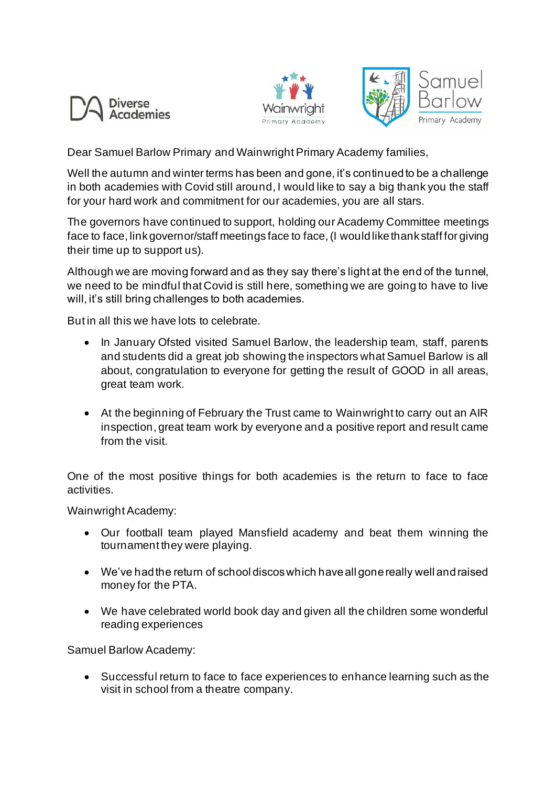





Dear Samuel Barlow Primary and Wainwright Primary Academy families,

Well the autumn and winter terms has been and gone, it's continued to be a challenge in both academies with Covid still around, I would like to say a big thank you the staff for your hard work and commitment for our academies, you are all stars.

The governors have continued to support, holding our Academy Committee meetings face to face, link governor/staff meetings face to face, (I would like thank staff for giving their time up to support us).

Although we are moving forward and as they say there's light at the end of the tunnel, we need to be mindful that Covid is still here, something we are going to have to live will, it's still bring challenges to both academies.

But in all this we have lots to celebrate.

- In January Ofsted visited Samuel Barlow, the leadership team, staff, parents and students did a great job showing the inspectors what Samuel Barlow is all about, congratulation to everyone for getting the result of GOOD in all areas, great team work.
- At the beginning of February the Trust came to Wainwright to carry out an AIR inspection, great team work by everyone and a positive report and result came from the visit.

One of the most positive things for both academies is the return to face to face activities.

Wainwright Academy:

- Our football team played Mansfield academy and beat them winning the tournament they were playing.
- We've had the return of school discos which have all gone really well and raised money for the PTA.
- We have celebrated world book day and given all the children some wonderful reading experiences

Samuel Barlow Academy:

• Successful return to face to face experiences to enhance learning such as the visit in school from a theatre company.